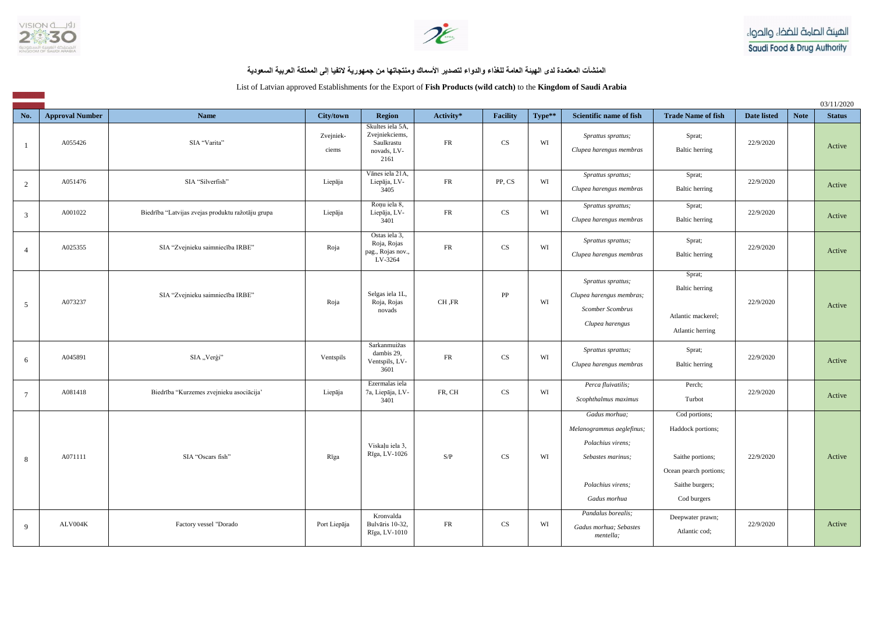



**المنشآت المعتمدة لدى الهيئة العامة للغذاء والدواء لتصدير األسماك ومنتجاتها من جمهورية التفيا إلى المملكة العربية السعودية**

List of Latvian approved Establishments for the Export of **Fish Products (wild catch)** to the **Kingdom of Saudi Arabia** 

|                 |                        |                                                   |                    |                                                                         |            |                        |        |                                                                                                                           |                                                                                                                    |             |             | 03/11/2020    |
|-----------------|------------------------|---------------------------------------------------|--------------------|-------------------------------------------------------------------------|------------|------------------------|--------|---------------------------------------------------------------------------------------------------------------------------|--------------------------------------------------------------------------------------------------------------------|-------------|-------------|---------------|
| No.             | <b>Approval Number</b> | <b>Name</b>                                       | City/town          | <b>Region</b>                                                           | Activity*  | Facility               | Type** | <b>Scientific name of fish</b>                                                                                            | <b>Trade Name of fish</b>                                                                                          | Date listed | <b>Note</b> | <b>Status</b> |
|                 | A055426                | SIA "Varita"                                      | Zvejniek-<br>ciems | Skultes iela 5A,<br>Zvejniekciems,<br>Saulkrastu<br>novads, LV-<br>2161 | FR         | $\mathbf{C}\mathbf{S}$ | WI     | Sprattus sprattus;<br>Clupea harengus membras                                                                             | Sprat;<br><b>Baltic</b> herring                                                                                    | 22/9/2020   |             | Active        |
| 2               | A051476                | SIA "Silverfish"                                  | Liepāja            | Vānes iela 21A,<br>Liepāja, LV-<br>3405                                 | FR         | PP, CS                 | WI     | Sprattus sprattus;<br>Clupea harengus membras                                                                             | Sprat;<br><b>Baltic</b> herring                                                                                    | 22/9/2020   |             | Active        |
| 3               | A001022                | Biedrība "Latvijas zvejas produktu ražotāju grupa | Liepāja            | Roņu iela 8,<br>Liepāja, LV-<br>3401                                    | FR         | <b>CS</b>              | WI     | Sprattus sprattus;<br>Clupea harengus membras                                                                             | Sprat;<br><b>Baltic herring</b>                                                                                    | 22/9/2020   |             | Active        |
| $\overline{4}$  | A025355                | SIA "Zvejnieku saimniecība IRBE"                  | Roja               | Ostas iela 3,<br>Roja, Rojas<br>pag., Rojas nov.,<br>LV-3264            | ${\sf FR}$ | <b>CS</b>              | WI     | Sprattus sprattus;<br>Clupea harengus membras                                                                             | Sprat;<br><b>Baltic</b> herring                                                                                    | 22/9/2020   |             | Active        |
| 5 <sup>5</sup>  | A073237                | SIA "Zvejnieku saimniecība IRBE"                  | Roja               | Selgas iela 1L,<br>Roja, Rojas<br>novads                                | CH, FR     | ${\rm PP}$             | WI     | Sprattus sprattus;<br>Clupea harengus membras;<br><b>Scomber Scombrus</b><br>Clupea harengus                              | Sprat;<br><b>Baltic</b> herring<br>Atlantic mackerel;<br>Atlantic herring                                          | 22/9/2020   |             | Active        |
| 6               | A045891                | SIA "Verģi"                                       | Ventspils          | Sarkanmuižas<br>dambis 29,<br>Ventspils, LV-<br>3601                    | ${\sf FR}$ | $\mathbf{C}\mathbf{S}$ | WI     | Sprattus sprattus;<br>Clupea harengus membras                                                                             | Sprat;<br><b>Baltic</b> herring                                                                                    | 22/9/2020   |             | Active        |
| $7\phantom{.0}$ | A081418                | Biedrība "Kurzemes zvejnieku asociācija"          | Liepāja            | Ezermalas iela<br>7a, Liepāja, LV-<br>3401                              | FR, CH     | CS                     | WI     | Perca fluivatilis;<br>Scophthalmus maximus                                                                                | Perch;<br>Turbot                                                                                                   | 22/9/2020   |             | Active        |
| 8               | A071111                | SIA "Oscars fish"                                 | Rīga               | Viskaļu iela 3,<br>Rīga, LV-1026                                        | S/P        | <b>CS</b>              | WI     | Gadus morhua;<br>Melanogrammus aeglefinus;<br>Polachius virens;<br>Sebastes marinus;<br>Polachius virens;<br>Gadus morhua | Cod portions;<br>Haddock portions;<br>Saithe portions;<br>Ocean pearch portions;<br>Saithe burgers;<br>Cod burgers | 22/9/2020   |             | Active        |
| 9               | ALV004K                | Factory vessel "Dorado                            | Port Liepāja       | Kronvalda<br>Bulvāris 10-32,<br>Rīga, LV-1010                           | ${\sf FR}$ | $\mathbf{C}\mathbf{S}$ | WI     | Pandalus borealis;<br>Gadus morhua; Sebastes<br>mentella;                                                                 | Deepwater prawn;<br>Atlantic cod;                                                                                  | 22/9/2020   |             | Active        |

الهيئة الصامة للضخاء والحواء Saudi Food & Drug Authority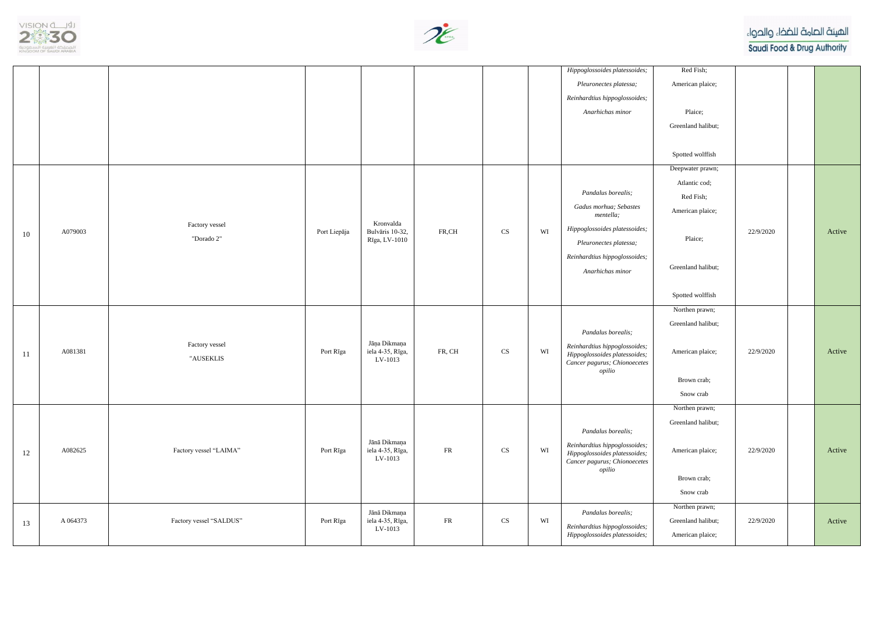



|               |          |                              |              |                                               |            |                            |    | Hippoglossoides platessoides;<br>Pleuronectes platessa;<br>Reinhardtius hippoglossoides;<br>Anarhichas minor                                                              |  |
|---------------|----------|------------------------------|--------------|-----------------------------------------------|------------|----------------------------|----|---------------------------------------------------------------------------------------------------------------------------------------------------------------------------|--|
| 10            | A079003  | Factory vessel<br>"Dorado 2" | Port Liepāja | Kronvalda<br>Bulvāris 10-32,<br>Rīga, LV-1010 | FR,CH      | $\mathop{\rm CS}\nolimits$ | WI | Pandalus borealis;<br>Gadus morhua; Sebastes<br>mentella;<br>Hippoglossoides platessoides;<br>Pleuronectes platessa;<br>Reinhardtius hippoglossoides;<br>Anarhichas minor |  |
| <sup>11</sup> | A081381  | Factory vessel<br>"AUSEKLIS  | Port Rīga    | Jāņa Dikmaņa<br>iela 4-35, Rīga,<br>LV-1013   | FR, CH     | $\mathbf{C}\mathbf{S}$     | WI | Pandalus borealis;<br>Reinhardtius hippoglossoides;<br>Hippoglossoides platessoides;<br>Cancer pagurus; Chionoecetes<br>opilio                                            |  |
| 12            | A082625  | Factory vessel "LAIMA"       | Port Rīga    | Jānā Dikmaņa<br>iela 4-35, Rīga,<br>LV-1013   | ${\sf FR}$ | $\mathop{\rm CS}\nolimits$ | WI | Pandalus borealis;<br>Reinhardtius hippoglossoides;<br>Hippoglossoides platessoides;<br>Cancer pagurus; Chionoecetes<br>opilio                                            |  |
| 13            | A 064373 | Factory vessel "SALDUS"      | Port Rīga    | Jānā Dikmaņa<br>iela 4-35, Rīga,<br>LV-1013   | FR         | $\mathop{\rm CS}\nolimits$ | WI | Pandalus borealis;<br>Reinhardtius hippoglossoides;<br>Hippoglossoides platessoides;                                                                                      |  |

الهيئة الصامة للضخاء والحواء

Saudi Food & Drug Authority

| Red Fish;          |           |        |
|--------------------|-----------|--------|
| American plaice;   |           |        |
|                    |           |        |
| Plaice;            |           |        |
| Greenland halibut; |           |        |
|                    |           |        |
| Spotted wolffish   |           |        |
| Deepwater prawn;   |           |        |
| Atlantic cod;      |           |        |
| Red Fish;          |           |        |
| American plaice;   |           |        |
|                    |           | Active |
| Plaice;            | 22/9/2020 |        |
|                    |           |        |
| Greenland halibut; |           |        |
|                    |           |        |
| Spotted wolffish   |           |        |
| Northen prawn;     |           |        |
| Greenland halibut; |           |        |
|                    |           |        |
| American plaice;   | 22/9/2020 | Active |
|                    |           |        |
| Brown crab;        |           |        |
| Snow crab          |           |        |
| Northen prawn;     |           |        |
| Greenland halibut; |           |        |
|                    |           |        |
| American plaice;   | 22/9/2020 | Active |
|                    |           |        |
| Brown crab;        |           |        |
| Snow crab          |           |        |
| Northen prawn;     |           |        |
| Greenland halibut; | 22/9/2020 | Active |
| American plaice;   |           |        |
|                    |           |        |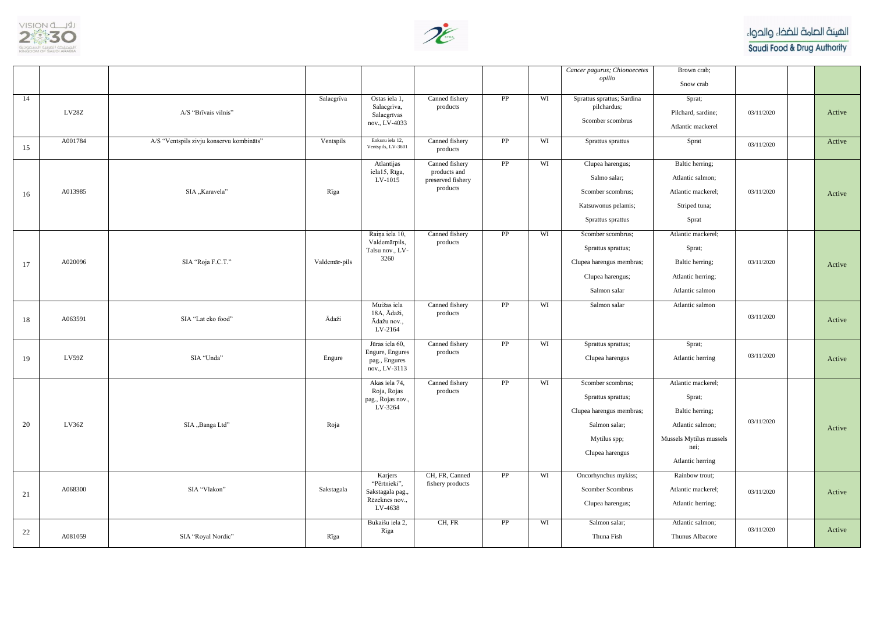



|    |         |                                          |               |                                                                                         |                                                                  |                 |          | Cancer pagurus; Chionoecetes                                                                                                                    | Brown crab;                                                                                                                                  |            |        |
|----|---------|------------------------------------------|---------------|-----------------------------------------------------------------------------------------|------------------------------------------------------------------|-----------------|----------|-------------------------------------------------------------------------------------------------------------------------------------------------|----------------------------------------------------------------------------------------------------------------------------------------------|------------|--------|
|    |         |                                          |               |                                                                                         |                                                                  |                 |          | opilio                                                                                                                                          | Snow crab                                                                                                                                    |            |        |
| 14 | LV28Z   | A/S "Brīvais vilnis"                     | Salacgrīva    | Ostas iela 1,<br>Salacgrīva,<br>Salacgrīvas<br>nov., LV-4033                            | Canned fishery<br>products                                       | $\overline{PP}$ | WI       | Sprattus sprattus; Sardina<br>pilchardus;<br>Scomber scombrus                                                                                   | Sprat;<br>Pilchard, sardine;<br>Atlantic mackerel                                                                                            | 03/11/2020 | Active |
| 15 | A001784 | A/S "Ventspils zivju konservu kombināts" | Ventspils     | Enkuru iela 12,<br>Ventspils, LV-3601                                                   | Canned fishery<br>products                                       | PP              | WI       | Sprattus sprattus                                                                                                                               | Sprat                                                                                                                                        | 03/11/2020 | Active |
| 16 | A013985 | SIA "Karavela"                           | Rīga          | Atlantijas<br>iela15, Rīga,<br>LV-1015                                                  | Canned fishery<br>products and<br>preserved fishery<br>products  | PP              | WI       | Clupea harengus;<br>Salmo salar;<br>Scomber scombrus;<br>Katsuwonus pelamis;<br>Sprattus sprattus                                               | Baltic herring;<br>Atlantic salmon;<br>Atlantic mackerel;<br>Striped tuna;<br>Sprat                                                          | 03/11/2020 | Active |
| 17 | A020096 | SIA "Roja F.C.T."                        | Valdemār-pils | Raiņa iela 10,<br>Valdemārpils,<br>Talsu nov., LV-<br>3260                              | Canned fishery<br>products                                       | $\overline{PP}$ | WI       | Scomber scombrus;<br>Sprattus sprattus;<br>Clupea harengus membras;<br>Clupea harengus;<br>Salmon salar                                         | Atlantic mackerel;<br>Sprat;<br>Baltic herring;<br>Atlantic herring;<br>Atlantic salmon                                                      | 03/11/2020 | Active |
| 18 | A063591 | SIA "Lat eko food"                       | Ādaži         | Muižas iela<br>18A, Ādaži,<br>Ādažu nov.,<br>LV-2164                                    | Canned fishery<br>products                                       | $\overline{PP}$ | WI       | Salmon salar                                                                                                                                    | Atlantic salmon                                                                                                                              | 03/11/2020 | Active |
| 19 | LV59Z   | SIA "Unda"                               | Engure        | Jūras iela 60,<br>Engure, Engures<br>pag., Engures<br>nov., LV-3113                     | Canned fishery<br>products                                       | PP              | WI       | Sprattus sprattus;<br>Clupea harengus                                                                                                           | Sprat;<br>Atlantic herring                                                                                                                   | 03/11/2020 | Active |
| 20 | LV36Z   | SIA "Banga Ltd"                          | Roja          | Akas iela 74,<br>Roja, Rojas<br>pag., Rojas nov.,<br>LV-3264<br>Karjers<br>"Pērtnieki", | Canned fishery<br>products<br>CH, FR, Canned<br>fishery products | PP<br>PP        | WI<br>WI | Scomber scombrus;<br>Sprattus sprattus;<br>Clupea harengus membras;<br>Salmon salar;<br>Mytilus spp;<br>Clupea harengus<br>Oncorhynchus mykiss; | Atlantic mackerel;<br>Sprat;<br>Baltic herring;<br>Atlantic salmon;<br>Mussels Mytilus mussels<br>nei;<br>Atlantic herring<br>Rainbow trout; | 03/11/2020 | Active |
| 21 | A068300 | SIA "Vlakon"                             | Sakstagala    | Sakstagala pag.,<br>Rēzeknes nov.,<br>LV-4638                                           |                                                                  |                 |          | Scomber Scombrus<br>Clupea harengus;                                                                                                            | Atlantic mackerel;<br>Atlantic herring;                                                                                                      | 03/11/2020 | Active |
| 22 | A081059 | SIA "Royal Nordic"                       | Rīga          | Bukaišu iela 2,<br>Rīga                                                                 | CH, FR                                                           | PP              | WI       | Salmon salar;<br>Thuna Fish                                                                                                                     | Atlantic salmon;<br>Thunus Albacore                                                                                                          | 03/11/2020 | Active |

الهيئة الصامة للضخاء والحواء

Saudi Food & Drug Authority